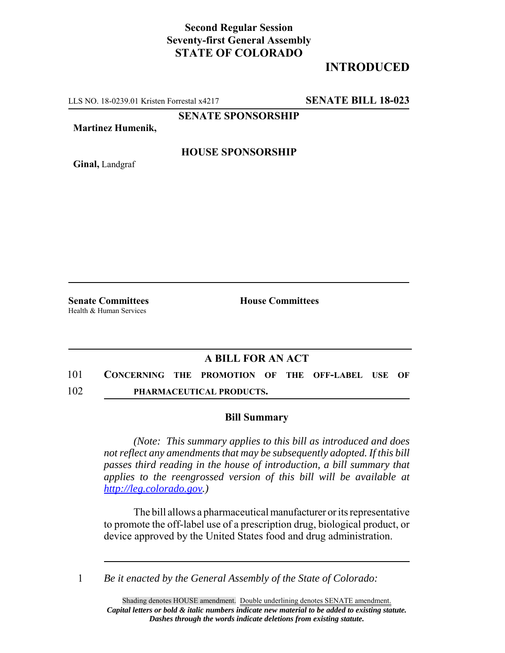## **Second Regular Session Seventy-first General Assembly STATE OF COLORADO**

## **INTRODUCED**

LLS NO. 18-0239.01 Kristen Forrestal x4217 **SENATE BILL 18-023**

**SENATE SPONSORSHIP**

**Martinez Humenik,**

**Ginal,** Landgraf

**HOUSE SPONSORSHIP**

**Senate Committees House Committees** Health & Human Services

## **A BILL FOR AN ACT**

- 101 **CONCERNING THE PROMOTION OF THE OFF-LABEL USE OF**
- 102 **PHARMACEUTICAL PRODUCTS.**

## **Bill Summary**

*(Note: This summary applies to this bill as introduced and does not reflect any amendments that may be subsequently adopted. If this bill passes third reading in the house of introduction, a bill summary that applies to the reengrossed version of this bill will be available at http://leg.colorado.gov.)*

The bill allows a pharmaceutical manufacturer or its representative to promote the off-label use of a prescription drug, biological product, or device approved by the United States food and drug administration.

1 *Be it enacted by the General Assembly of the State of Colorado:*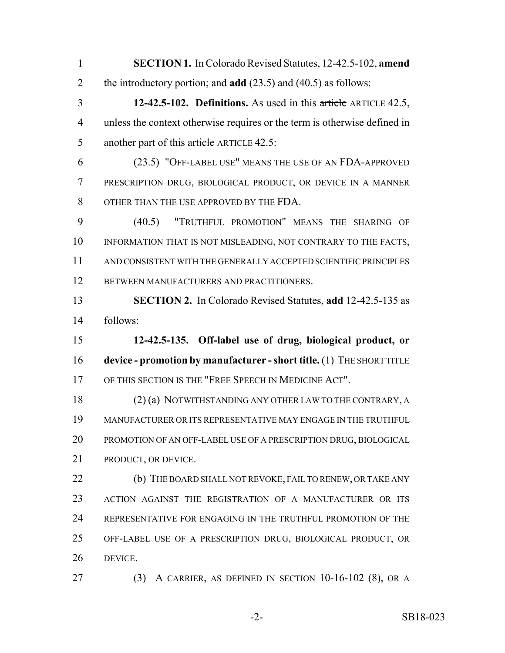**SECTION 1.** In Colorado Revised Statutes, 12-42.5-102, **amend** the introductory portion; and **add** (23.5) and (40.5) as follows: **12-42.5-102. Definitions.** As used in this article ARTICLE 42.5, unless the context otherwise requires or the term is otherwise defined in 5 another part of this article ARTICLE 42.5: (23.5) "OFF-LABEL USE" MEANS THE USE OF AN FDA-APPROVED PRESCRIPTION DRUG, BIOLOGICAL PRODUCT, OR DEVICE IN A MANNER OTHER THAN THE USE APPROVED BY THE FDA. (40.5) "TRUTHFUL PROMOTION" MEANS THE SHARING OF 10 INFORMATION THAT IS NOT MISLEADING, NOT CONTRARY TO THE FACTS, AND CONSISTENT WITH THE GENERALLY ACCEPTED SCIENTIFIC PRINCIPLES BETWEEN MANUFACTURERS AND PRACTITIONERS. **SECTION 2.** In Colorado Revised Statutes, **add** 12-42.5-135 as follows: **12-42.5-135. Off-label use of drug, biological product, or**

 **device - promotion by manufacturer - short title.** (1) THE SHORT TITLE OF THIS SECTION IS THE "FREE SPEECH IN MEDICINE ACT".

 (2) (a) NOTWITHSTANDING ANY OTHER LAW TO THE CONTRARY, A MANUFACTURER OR ITS REPRESENTATIVE MAY ENGAGE IN THE TRUTHFUL PROMOTION OF AN OFF-LABEL USE OF A PRESCRIPTION DRUG, BIOLOGICAL PRODUCT, OR DEVICE.

**(b)** THE BOARD SHALL NOT REVOKE, FAIL TO RENEW, OR TAKE ANY ACTION AGAINST THE REGISTRATION OF A MANUFACTURER OR ITS REPRESENTATIVE FOR ENGAGING IN THE TRUTHFUL PROMOTION OF THE OFF-LABEL USE OF A PRESCRIPTION DRUG, BIOLOGICAL PRODUCT, OR DEVICE.

(3) A CARRIER, AS DEFINED IN SECTION 10-16-102 (8), OR A